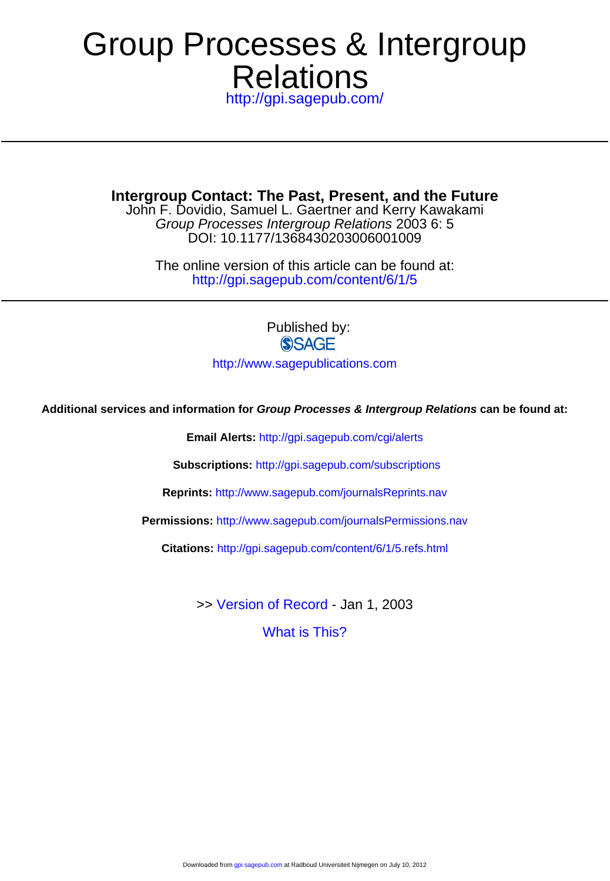# <http://gpi.sagepub.com/> Relations Group Processes & Intergroup

**Intergroup Contact: The Past, Present, and the Future**

DOI: 10.1177/1368430203006001009 Group Processes Intergroup Relations 2003 6: 5 John F. Dovidio, Samuel L. Gaertner and Kerry Kawakami

<http://gpi.sagepub.com/content/6/1/5> The online version of this article can be found at:

> Published by: **SSAGF**

<http://www.sagepublications.com>

**Additional services and information for Group Processes & Intergroup Relations can be found at:**

**Email Alerts:** <http://gpi.sagepub.com/cgi/alerts>

**Subscriptions:** <http://gpi.sagepub.com/subscriptions>

**Reprints:** <http://www.sagepub.com/journalsReprints.nav>

**Permissions:** <http://www.sagepub.com/journalsPermissions.nav>

**Citations:** <http://gpi.sagepub.com/content/6/1/5.refs.html>

>> [Version of Record -](http://gpi.sagepub.com/content/6/1/5.full.pdf) Jan 1, 2003

[What is This?](http://online.sagepub.com/site/sphelp/vorhelp.xhtml)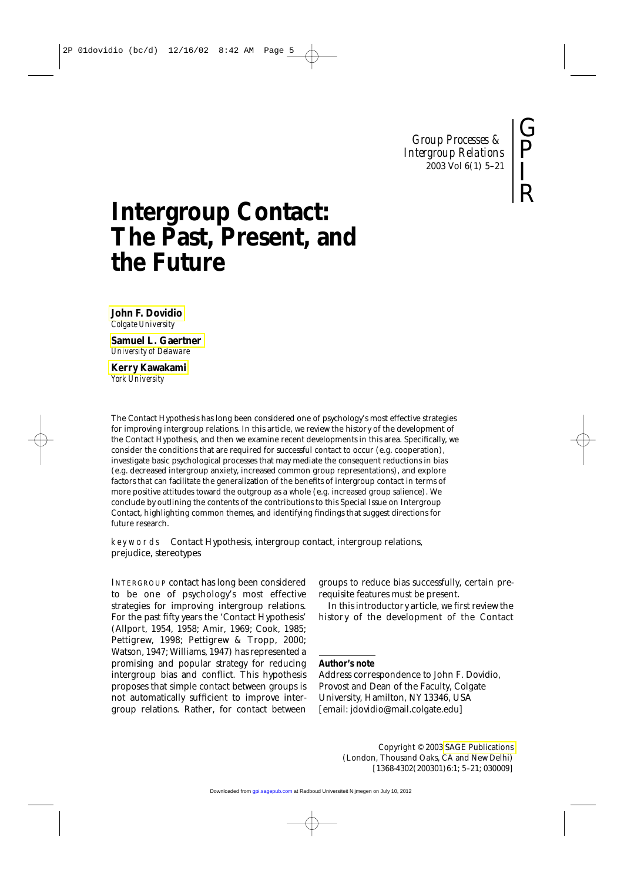*Group Processes & Intergroup Relations* 2003 Vol 6(1) 5–21

# **Intergroup Contact: The Past, Present, and the Future**

**[John F. Dovidio](#page-17-0)** *Colgate University*

**[Samuel L. Gaertner](#page-17-0)** *University of Delaware*

**[Kerry Kawakami](#page-17-0)** *York University*

The Contact Hypothesis has long been considered one of psychology's most effective strategies for improving intergroup relations. In this article, we review the history of the development of the Contact Hypothesis, and then we examine recent developments in this area. Specifically, we consider the conditions that are required for successful contact to occur (e.g. cooperation), investigate basic psychological processes that may mediate the consequent reductions in bias (e.g. decreased intergroup anxiety, increased common group representations), and explore factors that can facilitate the generalization of the benefits of intergroup contact in terms of more positive attitudes toward the outgroup as a whole (e.g. increased group salience). We conclude by outlining the contents of the contributions to this Special Issue on Intergroup Contact, highlighting common themes, and identifying findings that suggest directions for future research.

keywords Contact Hypothesis, intergroup contact, intergroup relations, prejudice, stereotypes

INTERGROUP contact has long been considered to be one of psychology's most effective strategies for improving intergroup relations. For the past fifty years the 'Contact Hypothesis' (Allport, 1954, 1958; Amir, 1969; Cook, 1985; Pettigrew, 1998; Pettigrew & Tropp, 2000; Watson, 1947; Williams, 1947) has represented a promising and popular strategy for reducing intergroup bias and conflict. This hypothesis proposes that simple contact between groups is not automatically sufficient to improve intergroup relations. Rather, for contact between groups to reduce bias successfully, certain prerequisite features must be present.

In this introductory article, we first review the history of the development of the Contact

#### **Author's note**

Address correspondence to John F. Dovidio, Provost and Dean of the Faculty, Colgate University, Hamilton, NY 13346, USA [email: jdovidio@mail.colgate.edu]

> Copyright © 2003 [SAGE Publications](www.sagepublications.com) (London, Thousand Oaks, CA and New Delhi) [1368-4302(200301)6:1; 5–21; 030009]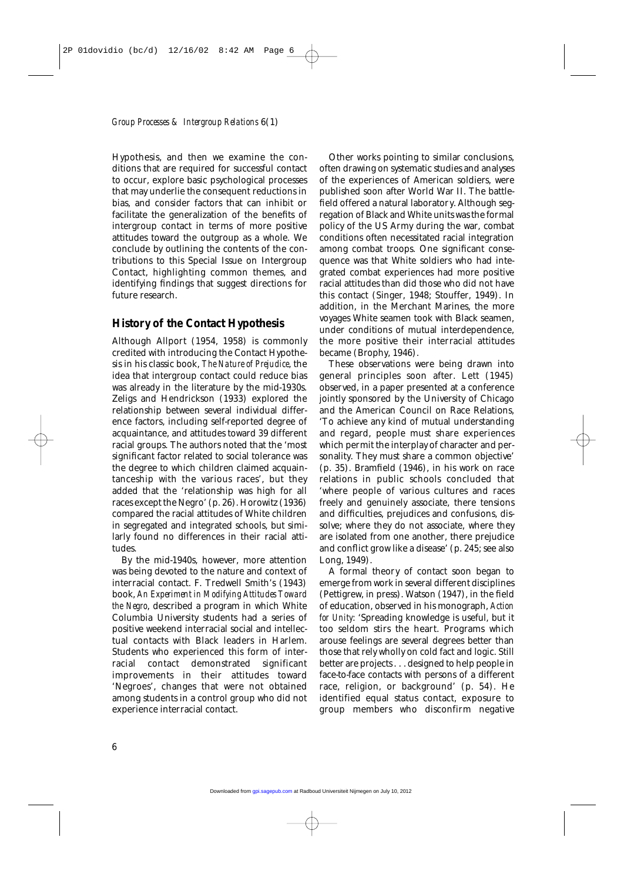Hypothesis, and then we examine the conditions that are required for successful contact to occur, explore basic psychological processes that may underlie the consequent reductions in bias, and consider factors that can inhibit or facilitate the generalization of the benefits of intergroup contact in terms of more positive attitudes toward the outgroup as a whole. We conclude by outlining the contents of the contributions to this Special Issue on Intergroup Contact, highlighting common themes, and identifying findings that suggest directions for future research.

# **History of the Contact Hypothesis**

Although Allport (1954, 1958) is commonly credited with introducing the Contact Hypothesis in his classic book, *The Nature of Prejudice*, the idea that intergroup contact could reduce bias was already in the literature by the mid-1930s. Zeligs and Hendrickson (1933) explored the relationship between several individual difference factors, including self-reported degree of acquaintance, and attitudes toward 39 different racial groups. The authors noted that the 'most significant factor related to social tolerance was the degree to which children claimed acquaintanceship with the various races', but they added that the 'relationship was high for all races except the Negro' (p. 26). Horowitz (1936) compared the racial attitudes of White children in segregated and integrated schools, but similarly found no differences in their racial attitudes.

By the mid-1940s, however, more attention was being devoted to the nature and context of interracial contact. F. Tredwell Smith's (1943) book, *An Experiment in Modifying Attitudes Toward the Negro*, described a program in which White Columbia University students had a series of positive weekend interracial social and intellectual contacts with Black leaders in Harlem. Students who experienced this form of interracial contact demonstrated significant improvements in their attitudes toward 'Negroes', changes that were not obtained among students in a control group who did not experience interracial contact.

Other works pointing to similar conclusions, often drawing on systematic studies and analyses of the experiences of American soldiers, were published soon after World War II. The battlefield offered a natural laboratory. Although segregation of Black and White units was the formal policy of the US Army during the war, combat conditions often necessitated racial integration among combat troops. One significant consequence was that White soldiers who had integrated combat experiences had more positive racial attitudes than did those who did not have this contact (Singer, 1948; Stouffer, 1949). In addition, in the Merchant Marines, the more voyages White seamen took with Black seamen, under conditions of mutual interdependence, the more positive their interracial attitudes became (Brophy, 1946).

These observations were being drawn into general principles soon after. Lett (1945) observed, in a paper presented at a conference jointly sponsored by the University of Chicago and the American Council on Race Relations, 'To achieve any kind of mutual understanding and regard, people must share experiences which permit the interplay of character and personality. They must share a common objective' (p. 35). Bramfield (1946), in his work on race relations in public schools concluded that 'where people of various cultures and races freely and genuinely associate, there tensions and difficulties, prejudices and confusions, dissolve; where they do not associate, where they are isolated from one another, there prejudice and conflict grow like a disease' (p. 245; see also Long, 1949).

A formal theory of contact soon began to emerge from work in several different disciplines (Pettigrew, in press). Watson (1947), in the field of education, observed in his monograph, *Action for Unity*: 'Spreading knowledge is useful, but it too seldom stirs the heart. Programs which arouse feelings are several degrees better than those that rely wholly on cold fact and logic. Still better are projects . . . designed to help people in face-to-face contacts with persons of a different race, religion, or background' (p. 54). He identified equal status contact, exposure to group members who disconfirm negative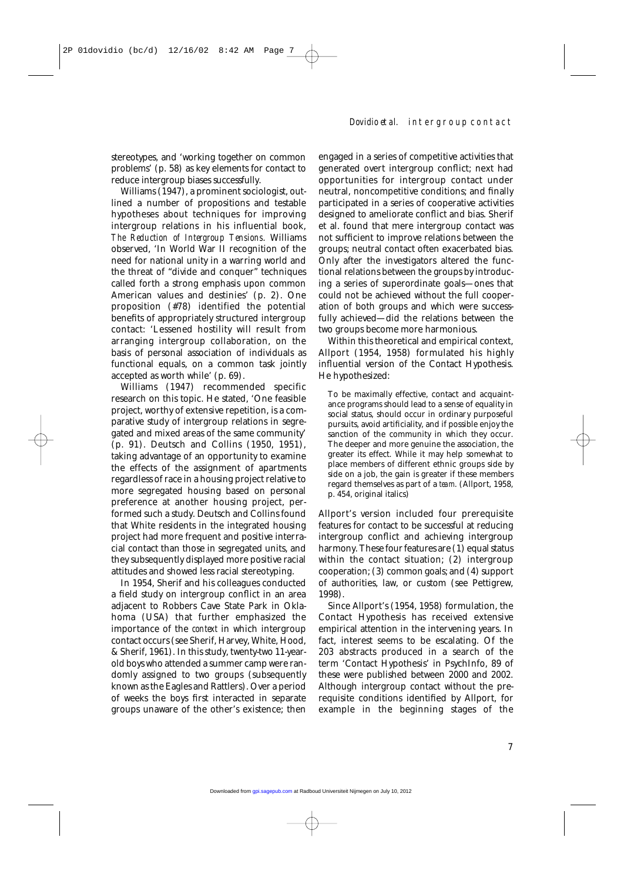stereotypes, and 'working together on common problems' (p. 58) as key elements for contact to reduce intergroup biases successfully.

Williams (1947), a prominent sociologist, outlined a number of propositions and testable hypotheses about techniques for improving intergroup relations in his influential book, *The Reduction of Intergroup Tensions*. Williams observed, 'In World War II recognition of the need for national unity in a warring world and the threat of "divide and conquer" techniques called forth a strong emphasis upon common American values and destinies' (p. 2). One proposition (#78) identified the potential benefits of appropriately structured intergroup contact: 'Lessened hostility will result from arranging intergroup collaboration, on the basis of personal association of individuals as functional equals, on a common task jointly accepted as worth while' (p. 69).

Williams (1947) recommended specific research on this topic. He stated, 'One feasible project, worthy of extensive repetition, is a comparative study of intergroup relations in segregated and mixed areas of the same community' (p. 91). Deutsch and Collins (1950, 1951), taking advantage of an opportunity to examine the effects of the assignment of apartments regardless of race in a housing project relative to more segregated housing based on personal preference at another housing project, performed such a study. Deutsch and Collins found that White residents in the integrated housing project had more frequent and positive interracial contact than those in segregated units, and they subsequently displayed more positive racial attitudes and showed less racial stereotyping.

In 1954, Sherif and his colleagues conducted a field study on intergroup conflict in an area adjacent to Robbers Cave State Park in Oklahoma (USA) that further emphasized the importance of the *context* in which intergroup contact occurs (see Sherif, Harvey, White, Hood, & Sherif, 1961). In this study, twenty-two 11-yearold boys who attended a summer camp were randomly assigned to two groups (subsequently known as the Eagles and Rattlers). Over a period of weeks the boys first interacted in separate groups unaware of the other's existence; then engaged in a series of competitive activities that generated overt intergroup conflict; next had opportunities for intergroup contact under neutral, noncompetitive conditions; and finally participated in a series of cooperative activities designed to ameliorate conflict and bias. Sherif et al. found that mere intergroup contact was not sufficient to improve relations between the groups; neutral contact often exacerbated bias. Only after the investigators altered the functional relations between the groups by introducing a series of superordinate goals—ones that could not be achieved without the full cooperation of both groups and which were successfully achieved—did the relations between the two groups become more harmonious.

Within this theoretical and empirical context, Allport (1954, 1958) formulated his highly influential version of the Contact Hypothesis. He hypothesized:

To be maximally effective, contact and acquaintance programs should lead to a sense of equality in social status, should occur in ordinary purposeful pursuits, avoid artificiality, and if possible enjoy the sanction of the community in which they occur. The deeper and more genuine the association, the greater its effect. While it may help somewhat to place members of different ethnic groups side by side on a job, the gain is greater if these members regard themselves as part of a *team*. (Allport, 1958, p. 454, original italics)

Allport's version included four prerequisite features for contact to be successful at reducing intergroup conflict and achieving intergroup harmony. These four features are (1) equal status within the contact situation; (2) intergroup cooperation; (3) common goals; and (4) support of authorities, law, or custom (see Pettigrew, 1998).

Since Allport's (1954, 1958) formulation, the Contact Hypothesis has received extensive empirical attention in the intervening years. In fact, interest seems to be escalating. Of the 203 abstracts produced in a search of the term 'Contact Hypothesis' in PsychInfo, 89 of these were published between 2000 and 2002. Although intergroup contact without the prerequisite conditions identified by Allport, for example in the beginning stages of the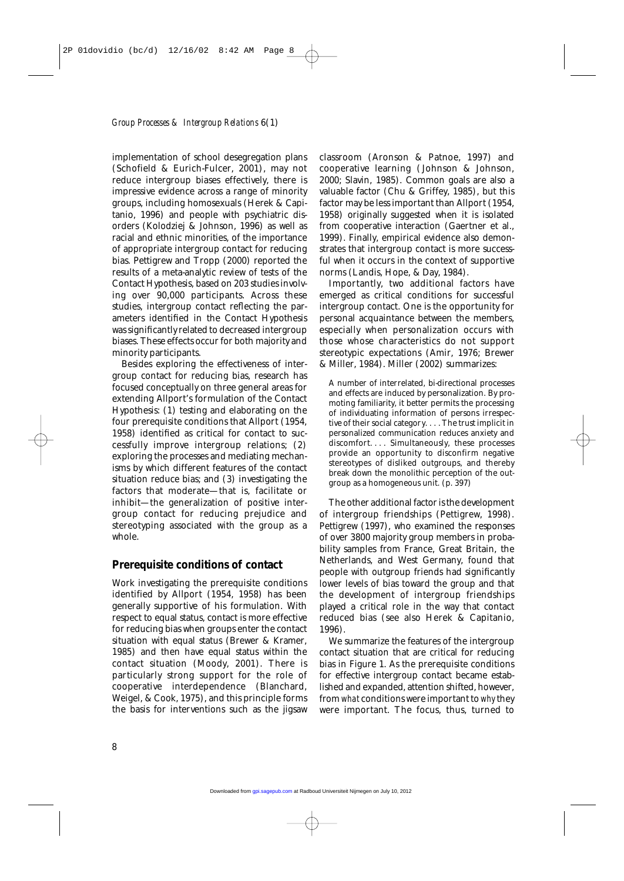implementation of school desegregation plans (Schofield & Eurich-Fulcer, 2001), may not reduce intergroup biases effectively, there is impressive evidence across a range of minority groups, including homosexuals (Herek & Capitanio, 1996) and people with psychiatric disorders (Kolodziej & Johnson, 1996) as well as racial and ethnic minorities, of the importance of appropriate intergroup contact for reducing bias. Pettigrew and Tropp (2000) reported the results of a meta-analytic review of tests of the Contact Hypothesis, based on 203 studies involving over 90,000 participants. Across these studies, intergroup contact reflecting the parameters identified in the Contact Hypothesis was significantly related to decreased intergroup biases. These effects occur for both majority and minority participants.

Besides exploring the effectiveness of intergroup contact for reducing bias, research has focused conceptually on three general areas for extending Allport's formulation of the Contact Hypothesis: (1) testing and elaborating on the four prerequisite conditions that Allport (1954, 1958) identified as critical for contact to successfully improve intergroup relations; (2) exploring the processes and mediating mechanisms by which different features of the contact situation reduce bias; and (3) investigating the factors that moderate—that is, facilitate or inhibit—the generalization of positive intergroup contact for reducing prejudice and stereotyping associated with the group as a whole.

# **Prerequisite conditions of contact**

Work investigating the prerequisite conditions identified by Allport (1954, 1958) has been generally supportive of his formulation. With respect to equal status, contact is more effective for reducing bias when groups enter the contact situation with equal status (Brewer & Kramer, 1985) and then have equal status within the contact situation (Moody, 2001). There is particularly strong support for the role of cooperative interdependence (Blanchard, Weigel, & Cook, 1975), and this principle forms the basis for interventions such as the jigsaw

classroom (Aronson & Patnoe, 1997) and cooperative learning (Johnson & Johnson, 2000; Slavin, 1985). Common goals are also a valuable factor (Chu & Griffey, 1985), but this factor may be less important than Allport (1954, 1958) originally suggested when it is isolated from cooperative interaction (Gaertner et al., 1999). Finally, empirical evidence also demonstrates that intergroup contact is more successful when it occurs in the context of supportive norms (Landis, Hope, & Day, 1984).

Importantly, two additional factors have emerged as critical conditions for successful intergroup contact. One is the opportunity for personal acquaintance between the members, especially when personalization occurs with those whose characteristics do not support stereotypic expectations (Amir, 1976; Brewer & Miller, 1984). Miller (2002) summarizes:

A number of interrelated, bi-directional processes and effects are induced by personalization. By promoting familiarity, it better permits the processing of individuating information of persons irrespective of their social category. . . . The trust implicit in personalized communication reduces anxiety and discomfort. . . . Simultaneously, these processes provide an opportunity to disconfirm negative stereotypes of disliked outgroups, and thereby break down the monolithic perception of the outgroup as a homogeneous unit. (p. 397)

The other additional factor is the development of intergroup friendships (Pettigrew, 1998). Pettigrew (1997), who examined the responses of over 3800 majority group members in probability samples from France, Great Britain, the Netherlands, and West Germany, found that people with outgroup friends had significantly lower levels of bias toward the group and that the development of intergroup friendships played a critical role in the way that contact reduced bias (see also Herek & Capitanio, 1996).

We summarize the features of the intergroup contact situation that are critical for reducing bias in Figure 1. As the prerequisite conditions for effective intergroup contact became established and expanded, attention shifted, however, from *what* conditions were important to *why*they were important. The focus, thus, turned to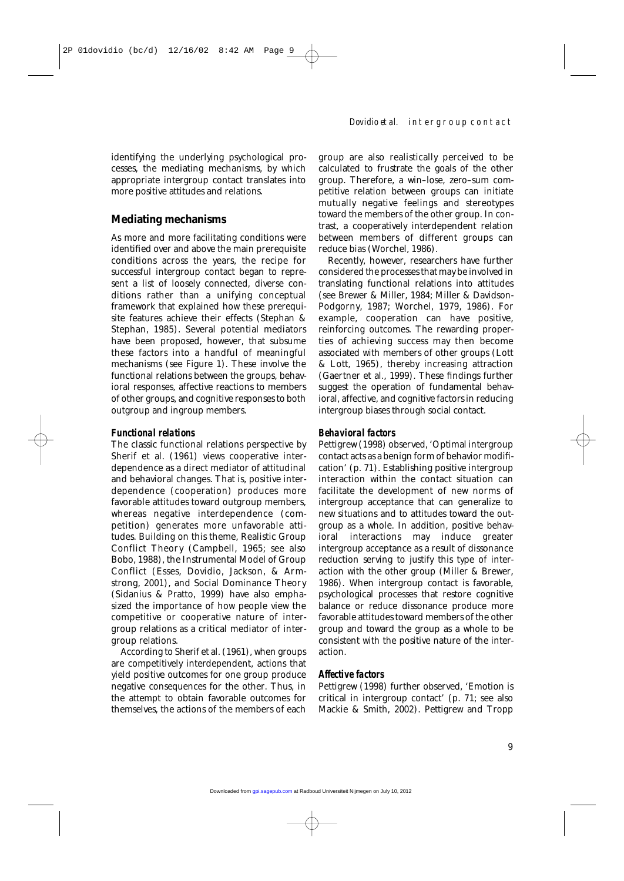identifying the underlying psychological processes, the mediating mechanisms, by which appropriate intergroup contact translates into more positive attitudes and relations.

### **Mediating mechanisms**

As more and more facilitating conditions were identified over and above the main prerequisite conditions across the years, the recipe for successful intergroup contact began to represent a list of loosely connected, diverse conditions rather than a unifying conceptual framework that explained how these prerequisite features achieve their effects (Stephan & Stephan, 1985). Several potential mediators have been proposed, however, that subsume these factors into a handful of meaningful mechanisms (see Figure 1). These involve the functional relations between the groups, behavioral responses, affective reactions to members of other groups, and cognitive responses to both outgroup and ingroup members.

#### *Functional relations*

The classic functional relations perspective by Sherif et al. (1961) views cooperative interdependence as a direct mediator of attitudinal and behavioral changes. That is, positive interdependence (cooperation) produces more favorable attitudes toward outgroup members, whereas negative interdependence (competition) generates more unfavorable attitudes. Building on this theme, Realistic Group Conflict Theory (Campbell, 1965; see also Bobo, 1988), the Instrumental Model of Group Conflict (Esses, Dovidio, Jackson, & Armstrong, 2001), and Social Dominance Theory (Sidanius & Pratto, 1999) have also emphasized the importance of how people view the competitive or cooperative nature of intergroup relations as a critical mediator of intergroup relations.

According to Sherif et al. (1961), when groups are competitively interdependent, actions that yield positive outcomes for one group produce negative consequences for the other. Thus, in the attempt to obtain favorable outcomes for themselves, the actions of the members of each group are also realistically perceived to be calculated to frustrate the goals of the other group. Therefore, a win–lose, zero–sum competitive relation between groups can initiate mutually negative feelings and stereotypes toward the members of the other group. In contrast, a cooperatively interdependent relation between members of different groups can reduce bias (Worchel, 1986).

Recently, however, researchers have further considered the processes that may be involved in translating functional relations into attitudes (see Brewer & Miller, 1984; Miller & Davidson-Podgorny, 1987; Worchel, 1979, 1986). For example, cooperation can have positive, reinforcing outcomes. The rewarding properties of achieving success may then become associated with members of other groups (Lott & Lott, 1965), thereby increasing attraction (Gaertner et al., 1999). These findings further suggest the operation of fundamental behavioral, affective, and cognitive factors in reducing intergroup biases through social contact.

#### *Behavioral factors*

Pettigrew (1998) observed, 'Optimal intergroup contact acts as a benign form of behavior modification' (p. 71). Establishing positive intergroup interaction within the contact situation can facilitate the development of new norms of intergroup acceptance that can generalize to new situations and to attitudes toward the outgroup as a whole. In addition, positive behavioral interactions may induce greater intergroup acceptance as a result of dissonance reduction serving to justify this type of interaction with the other group (Miller & Brewer, 1986). When intergroup contact is favorable, psychological processes that restore cognitive balance or reduce dissonance produce more favorable attitudes toward members of the other group and toward the group as a whole to be consistent with the positive nature of the interaction.

#### *Affective factors*

Pettigrew (1998) further observed, 'Emotion is critical in intergroup contact' (p. 71; see also Mackie & Smith, 2002). Pettigrew and Tropp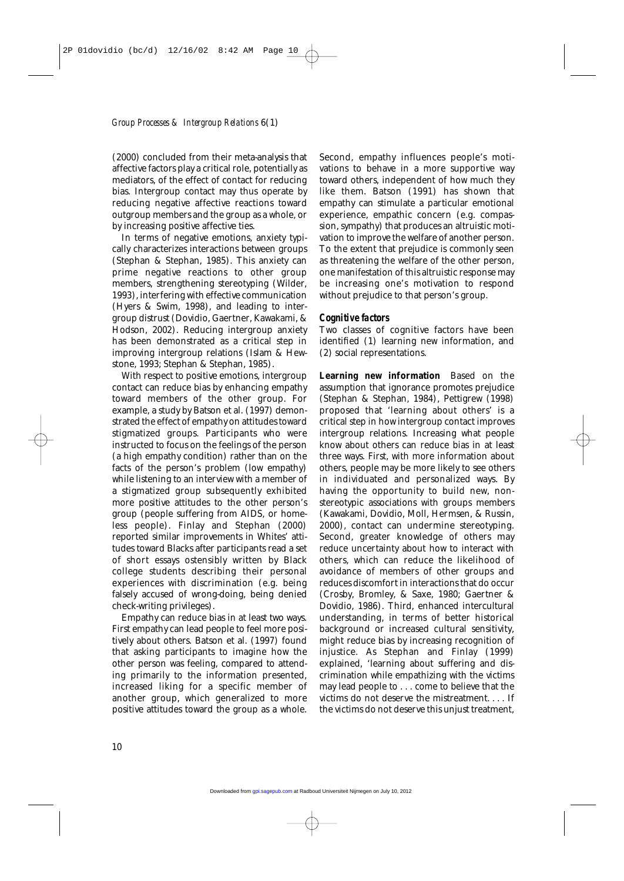(2000) concluded from their meta-analysis that affective factors play a critical role, potentially as mediators, of the effect of contact for reducing bias. Intergroup contact may thus operate by reducing negative affective reactions toward outgroup members and the group as a whole, or by increasing positive affective ties.

In terms of negative emotions, anxiety typically characterizes interactions between groups (Stephan & Stephan, 1985). This anxiety can prime negative reactions to other group members, strengthening stereotyping (Wilder, 1993), interfering with effective communication (Hyers & Swim, 1998), and leading to intergroup distrust (Dovidio, Gaertner, Kawakami, & Hodson, 2002). Reducing intergroup anxiety has been demonstrated as a critical step in improving intergroup relations (Islam & Hewstone, 1993; Stephan & Stephan, 1985).

With respect to positive emotions, intergroup contact can reduce bias by enhancing empathy toward members of the other group. For example, a study by Batson et al. (1997) demonstrated the effect of empathy on attitudes toward stigmatized groups. Participants who were instructed to focus on the feelings of the person (a high empathy condition) rather than on the facts of the person's problem (low empathy) while listening to an interview with a member of a stigmatized group subsequently exhibited more positive attitudes to the other person's group (people suffering from AIDS, or homeless people). Finlay and Stephan (2000) reported similar improvements in Whites' attitudes toward Blacks after participants read a set of short essays ostensibly written by Black college students describing their personal experiences with discrimination (e.g. being falsely accused of wrong-doing, being denied check-writing privileges).

Empathy can reduce bias in at least two ways. First empathy can lead people to feel more positively about others. Batson et al. (1997) found that asking participants to imagine how the other person was feeling, compared to attending primarily to the information presented, increased liking for a specific member of another group, which generalized to more positive attitudes toward the group as a whole. Second, empathy influences people's motivations to behave in a more supportive way toward others, independent of how much they like them. Batson (1991) has shown that empathy can stimulate a particular emotional experience, empathic concern (e.g. compassion, sympathy) that produces an altruistic motivation to improve the welfare of another person. To the extent that prejudice is commonly seen as threatening the welfare of the other person, one manifestation of this altruistic response may be increasing one's motivation to respond without prejudice to that person's group.

#### *Cognitive factors*

Two classes of cognitive factors have been identified (1) learning new information, and (2) social representations.

**Learning new information** Based on the assumption that ignorance promotes prejudice (Stephan & Stephan, 1984), Pettigrew (1998) proposed that 'learning about others' is a critical step in how intergroup contact improves intergroup relations. Increasing what people know about others can reduce bias in at least three ways. First, with more information about others, people may be more likely to see others in individuated and personalized ways. By having the opportunity to build new, nonstereotypic associations with groups members (Kawakami, Dovidio, Moll, Hermsen, & Russin, 2000), contact can undermine stereotyping. Second, greater knowledge of others may reduce uncertainty about how to interact with others, which can reduce the likelihood of avoidance of members of other groups and reduces discomfort in interactions that do occur (Crosby, Bromley, & Saxe, 1980; Gaertner & Dovidio, 1986). Third, enhanced intercultural understanding, in terms of better historical background or increased cultural sensitivity, might reduce bias by increasing recognition of injustice. As Stephan and Finlay (1999) explained, 'learning about suffering and discrimination while empathizing with the victims may lead people to . . . come to believe that the victims do not deserve the mistreatment. . . . If the victims do not deserve this unjust treatment,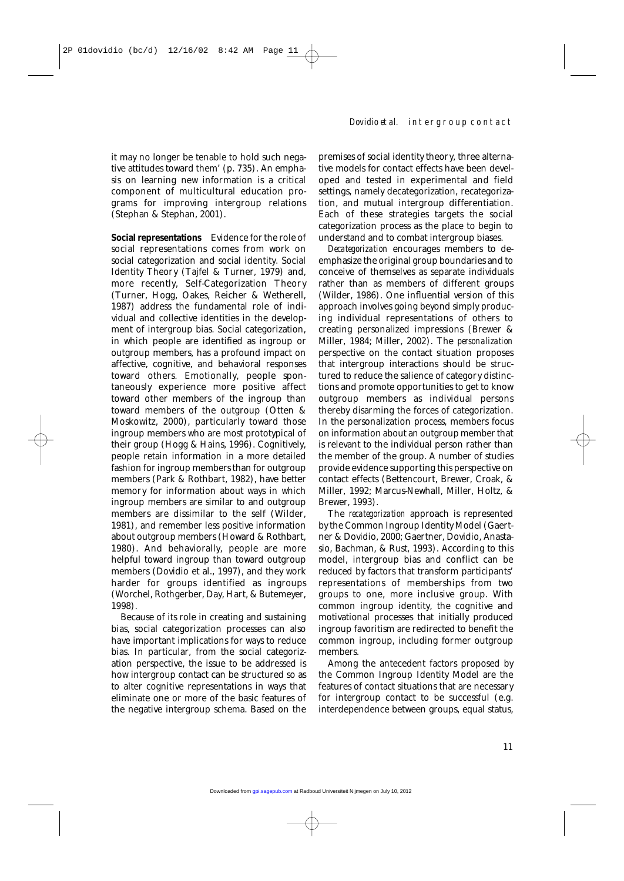it may no longer be tenable to hold such negative attitudes toward them' (p. 735). An emphasis on learning new information is a critical component of multicultural education programs for improving intergroup relations (Stephan & Stephan, 2001).

**Social representations** Evidence for the role of social representations comes from work on social categorization and social identity. Social Identity Theory (Tajfel & Turner, 1979) and, more recently, Self-Categorization Theory (Turner, Hogg, Oakes, Reicher & Wetherell, 1987) address the fundamental role of individual and collective identities in the development of intergroup bias. Social categorization, in which people are identified as ingroup or outgroup members, has a profound impact on affective, cognitive, and behavioral responses toward others. Emotionally, people spontaneously experience more positive affect toward other members of the ingroup than toward members of the outgroup (Otten & Moskowitz, 2000), particularly toward those ingroup members who are most prototypical of their group (Hogg & Hains, 1996). Cognitively, people retain information in a more detailed fashion for ingroup members than for outgroup members (Park & Rothbart, 1982), have better memory for information about ways in which ingroup members are similar to and outgroup members are dissimilar to the self (Wilder, 1981), and remember less positive information about outgroup members (Howard & Rothbart, 1980). And behaviorally, people are more helpful toward ingroup than toward outgroup members (Dovidio et al., 1997), and they work harder for groups identified as ingroups (Worchel, Rothgerber, Day, Hart, & Butemeyer, 1998).

Because of its role in creating and sustaining bias, social categorization processes can also have important implications for ways to reduce bias. In particular, from the social categorization perspective, the issue to be addressed is how intergroup contact can be structured so as to alter cognitive representations in ways that eliminate one or more of the basic features of the negative intergroup schema. Based on the premises of social identity theory, three alternative models for contact effects have been developed and tested in experimental and field settings, namely decategorization, recategorization, and mutual intergroup differentiation. Each of these strategies targets the social categorization process as the place to begin to understand and to combat intergroup biases.

*Decategorization* encourages members to deemphasize the original group boundaries and to conceive of themselves as separate individuals rather than as members of different groups (Wilder, 1986). One influential version of this approach involves going beyond simply producing individual representations of others to creating personalized impressions (Brewer & Miller, 1984; Miller, 2002). The *personalization* perspective on the contact situation proposes that intergroup interactions should be structured to reduce the salience of category distinctions and promote opportunities to get to know outgroup members as individual persons thereby disarming the forces of categorization. In the personalization process, members focus on information about an outgroup member that is relevant to the individual person rather than the member of the group. A number of studies provide evidence supporting this perspective on contact effects (Bettencourt, Brewer, Croak, & Miller, 1992; Marcus-Newhall, Miller, Holtz, & Brewer, 1993).

The *recategorization* approach is represented by the Common Ingroup Identity Model (Gaertner & Dovidio, 2000; Gaertner, Dovidio, Anastasio, Bachman, & Rust, 1993). According to this model, intergroup bias and conflict can be reduced by factors that transform participants' representations of memberships from two groups to one, more inclusive group. With common ingroup identity, the cognitive and motivational processes that initially produced ingroup favoritism are redirected to benefit the common ingroup, including former outgroup members.

Among the antecedent factors proposed by the Common Ingroup Identity Model are the features of contact situations that are necessary for intergroup contact to be successful (e.g. interdependence between groups, equal status,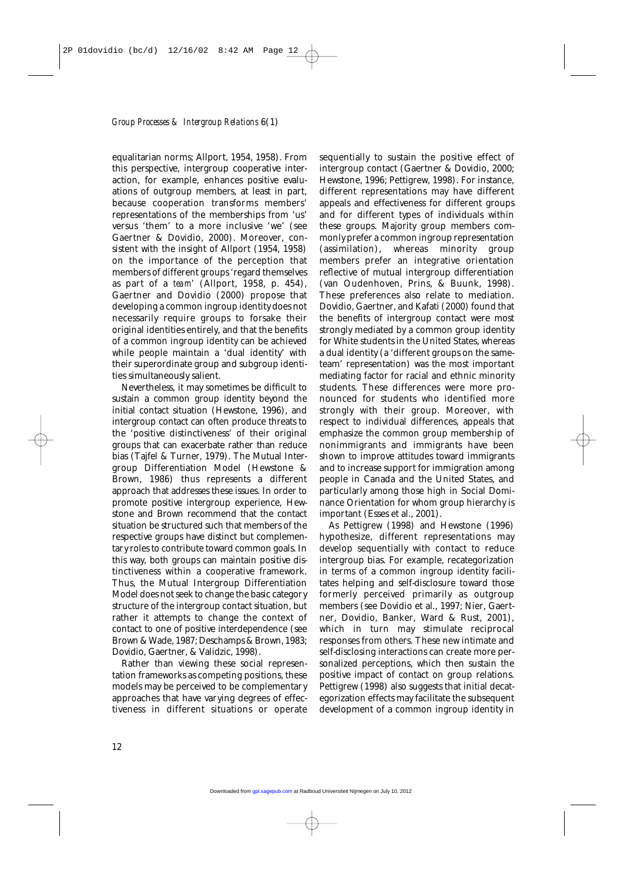equalitarian norms; Allport, 1954, 1958). From this perspective, intergroup cooperative interaction, for example, enhances positive evaluations of outgroup members, at least in part, because cooperation transforms members' representations of the memberships from 'us' versus 'them' to a more inclusive 'we' (see Gaertner & Dovidio, 2000). Moreover, consistent with the insight of Allport (1954, 1958) on the importance of the perception that members of different groups 'regard themselves as part of a *team*' (Allport, 1958, p. 454), Gaertner and Dovidio (2000) propose that developing a common ingroup identity does not necessarily require groups to forsake their original identities entirely, and that the benefits of a common ingroup identity can be achieved while people maintain a 'dual identity' with their superordinate group and subgroup identities simultaneously salient.

Nevertheless, it may sometimes be difficult to sustain a common group identity beyond the initial contact situation (Hewstone, 1996), and intergroup contact can often produce threats to the 'positive distinctiveness' of their original groups that can exacerbate rather than reduce bias (Tajfel & Turner, 1979). The Mutual Intergroup Differentiation Model (Hewstone & Brown, 1986) thus represents a different approach that addresses these issues. In order to promote positive intergroup experience, Hewstone and Brown recommend that the contact situation be structured such that members of the respective groups have distinct but complementary roles to contribute toward common goals. In this way, both groups can maintain positive distinctiveness within a cooperative framework. Thus, the Mutual Intergroup Differentiation Model does not seek to change the basic category structure of the intergroup contact situation, but rather it attempts to change the context of contact to one of positive interdependence (see Brown & Wade, 1987; Deschamps & Brown, 1983; Dovidio, Gaertner, & Validzic, 1998).

Rather than viewing these social representation frameworks as competing positions, these models may be perceived to be complementary approaches that have varying degrees of effectiveness in different situations or operate sequentially to sustain the positive effect of intergroup contact (Gaertner & Dovidio, 2000; Hewstone, 1996; Pettigrew, 1998). For instance, different representations may have different appeals and effectiveness for different groups and for different types of individuals within these groups. Majority group members commonly prefer a common ingroup representation (assimilation), whereas minority group members prefer an integrative orientation reflective of mutual intergroup differentiation (van Oudenhoven, Prins, & Buunk, 1998). These preferences also relate to mediation. Dovidio, Gaertner, and Kafati (2000) found that the benefits of intergroup contact were most strongly mediated by a common group identity for White students in the United States, whereas a dual identity (a 'different groups on the sameteam' representation) was the most important mediating factor for racial and ethnic minority students. These differences were more pronounced for students who identified more strongly with their group. Moreover, with respect to individual differences, appeals that emphasize the common group membership of nonimmigrants and immigrants have been shown to improve attitudes toward immigrants and to increase support for immigration among people in Canada and the United States, and particularly among those high in Social Dominance Orientation for whom group hierarchy is important (Esses et al., 2001).

As Pettigrew (1998) and Hewstone (1996) hypothesize, different representations may develop sequentially with contact to reduce intergroup bias. For example, recategorization in terms of a common ingroup identity facilitates helping and self-disclosure toward those formerly perceived primarily as outgroup members (see Dovidio et al., 1997; Nier, Gaertner, Dovidio, Banker, Ward & Rust, 2001), which in turn may stimulate reciprocal responses from others. These new intimate and self-disclosing interactions can create more personalized perceptions, which then sustain the positive impact of contact on group relations. Pettigrew (1998) also suggests that initial decategorization effects may facilitate the subsequent development of a common ingroup identity in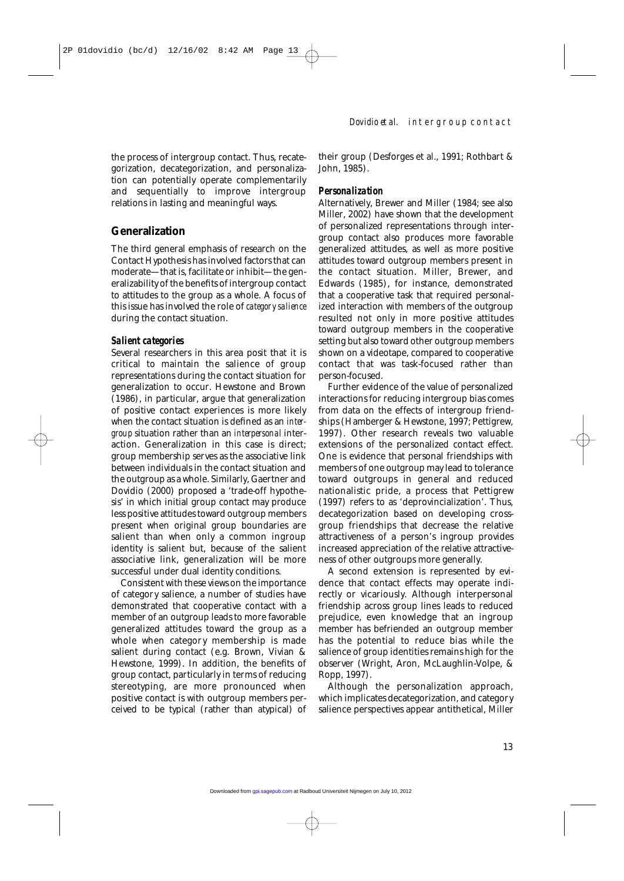the process of intergroup contact. Thus, recategorization, decategorization, and personalization can potentially operate complementarily and sequentially to improve intergroup relations in lasting and meaningful ways.

# **Generalization**

The third general emphasis of research on the Contact Hypothesis has involved factors that can moderate—that is, facilitate or inhibit—the generalizability of the benefits of intergroup contact to attitudes to the group as a whole. A focus of this issue has involved the role of *category salience* during the contact situation.

#### *Salient categories*

Several researchers in this area posit that it is critical to maintain the salience of group representations during the contact situation for generalization to occur. Hewstone and Brown (1986), in particular, argue that generalization of positive contact experiences is more likely when the contact situation is defined as an *intergroup* situation rather than an *interpersonal* interaction. Generalization in this case is direct; group membership serves as the associative link between individuals in the contact situation and the outgroup as a whole. Similarly, Gaertner and Dovidio (2000) proposed a 'trade-off hypothesis' in which initial group contact may produce less positive attitudes toward outgroup members present when original group boundaries are salient than when only a common ingroup identity is salient but, because of the salient associative link, generalization will be more successful under dual identity conditions.

Consistent with these views on the importance of category salience, a number of studies have demonstrated that cooperative contact with a member of an outgroup leads to more favorable generalized attitudes toward the group as a whole when category membership is made salient during contact (e.g. Brown, Vivian & Hewstone, 1999). In addition, the benefits of group contact, particularly in terms of reducing stereotyping, are more pronounced when positive contact is with outgroup members perceived to be typical (rather than atypical) of

their group (Desforges et al., 1991; Rothbart & John, 1985).

#### *Personalization*

Alternatively, Brewer and Miller (1984; see also Miller, 2002) have shown that the development of personalized representations through intergroup contact also produces more favorable generalized attitudes, as well as more positive attitudes toward outgroup members present in the contact situation. Miller, Brewer, and Edwards (1985), for instance, demonstrated that a cooperative task that required personalized interaction with members of the outgroup resulted not only in more positive attitudes toward outgroup members in the cooperative setting but also toward other outgroup members shown on a videotape, compared to cooperative contact that was task-focused rather than person-focused.

Further evidence of the value of personalized interactions for reducing intergroup bias comes from data on the effects of intergroup friendships (Hamberger & Hewstone, 1997; Pettigrew, 1997). Other research reveals two valuable extensions of the personalized contact effect. One is evidence that personal friendships with members of one outgroup may lead to tolerance toward outgroups in general and reduced nationalistic pride, a process that Pettigrew (1997) refers to as 'deprovincialization'. Thus, decategorization based on developing crossgroup friendships that decrease the relative attractiveness of a person's ingroup provides increased appreciation of the relative attractiveness of other outgroups more generally.

A second extension is represented by evidence that contact effects may operate indirectly or vicariously. Although interpersonal friendship across group lines leads to reduced prejudice, even knowledge that an ingroup member has befriended an outgroup member has the potential to reduce bias while the salience of group identities remains high for the observer (Wright, Aron, McLaughlin-Volpe, & Ropp, 1997).

Although the personalization approach, which implicates decategorization, and category salience perspectives appear antithetical, Miller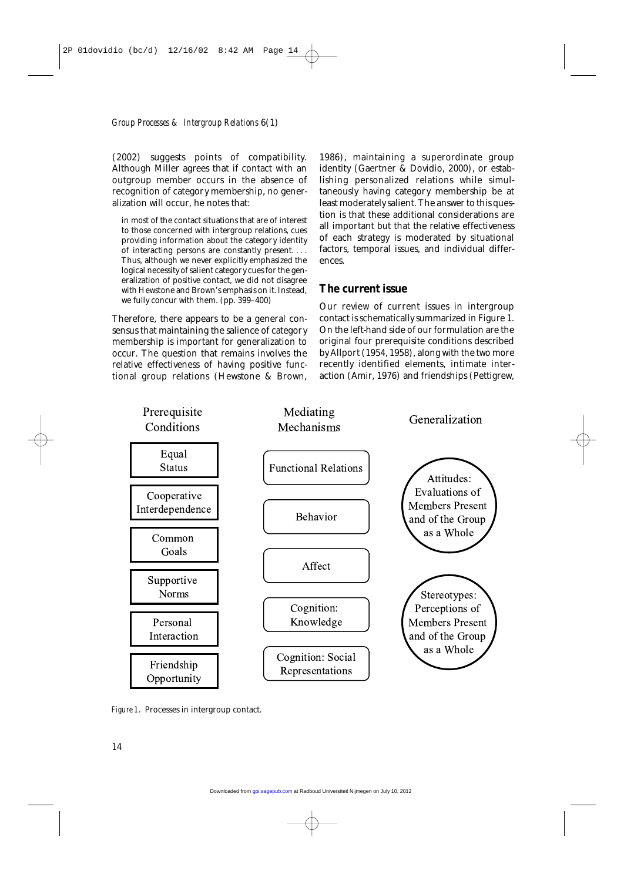(2002) suggests points of compatibility. Although Miller agrees that if contact with an outgroup member occurs in the absence of recognition of category membership, no generalization will occur, he notes that:

in most of the contact situations that are of interest to those concerned with intergroup relations, cues providing information about the category identity of interacting persons are constantly present. . . . Thus, although we never explicitly emphasized the logical necessity of salient category cues for the generalization of positive contact, we did not disagree with Hewstone and Brown's emphasis on it. Instead, we fully concur with them. (pp. 399–400)

Therefore, there appears to be a general consensus that maintaining the salience of category membership is important for generalization to occur. The question that remains involves the relative effectiveness of having positive functional group relations (Hewstone & Brown,

1986), maintaining a superordinate group identity (Gaertner & Dovidio, 2000), or establishing personalized relations while simultaneously having category membership be at least moderately salient. The answer to this question is that these additional considerations are all important but that the relative effectiveness of each strategy is moderated by situational factors, temporal issues, and individual differences.

# **The current issue**

Our review of current issues in intergroup contact is schematically summarized in Figure 1. On the left-hand side of our formulation are the original four prerequisite conditions described by Allport (1954, 1958), along with the two more recently identified elements, intimate interaction (Amir, 1976) and friendships (Pettigrew,



*Figure 1*. Processes in intergroup contact.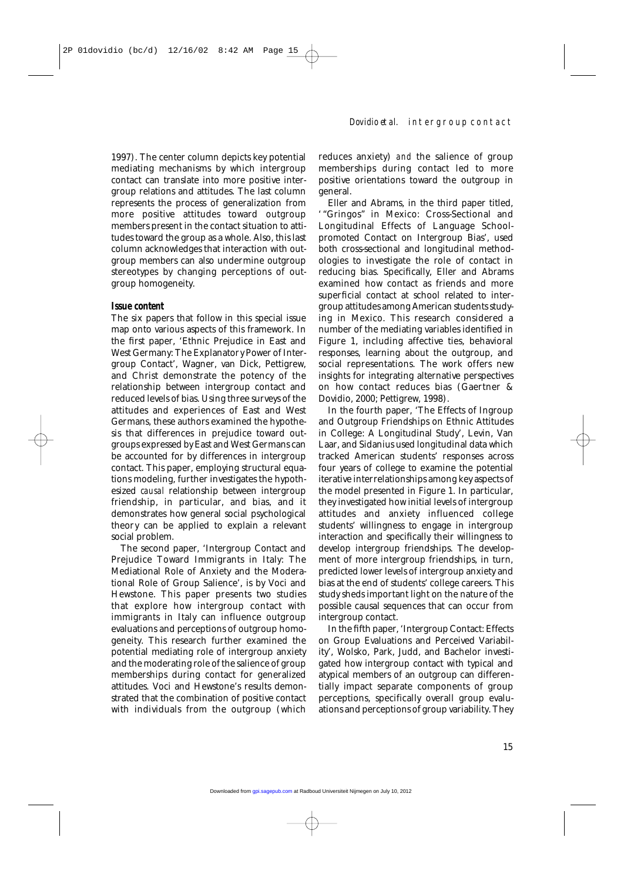1997). The center column depicts key potential mediating mechanisms by which intergroup contact can translate into more positive intergroup relations and attitudes. The last column represents the process of generalization from more positive attitudes toward outgroup members present in the contact situation to attitudes toward the group as a whole. Also, this last column acknowledges that interaction with outgroup members can also undermine outgroup stereotypes by changing perceptions of outgroup homogeneity.

#### *Issue content*

The six papers that follow in this special issue map onto various aspects of this framework. In the first paper, 'Ethnic Prejudice in East and West Germany: The Explanatory Power of Intergroup Contact', Wagner, van Dick, Pettigrew, and Christ demonstrate the potency of the relationship between intergroup contact and reduced levels of bias. Using three surveys of the attitudes and experiences of East and West Germans, these authors examined the hypothesis that differences in prejudice toward outgroups expressed by East and West Germans can be accounted for by differences in intergroup contact. This paper, employing structural equations modeling, further investigates the hypothesized *causal* relationship between intergroup friendship, in particular, and bias, and it demonstrates how general social psychological theory can be applied to explain a relevant social problem.

The second paper, 'Intergroup Contact and Prejudice Toward Immigrants in Italy: The Mediational Role of Anxiety and the Moderational Role of Group Salience', is by Voci and Hewstone. This paper presents two studies that explore how intergroup contact with immigrants in Italy can influence outgroup evaluations and perceptions of outgroup homogeneity. This research further examined the potential mediating role of intergroup anxiety and the moderating role of the salience of group memberships during contact for generalized attitudes. Voci and Hewstone's results demonstrated that the combination of positive contact with individuals from the outgroup (which

reduces anxiety) *and* the salience of group memberships during contact led to more positive orientations toward the outgroup in general.

Eller and Abrams, in the third paper titled, ' "Gringos" in Mexico: Cross-Sectional and Longitudinal Effects of Language Schoolpromoted Contact on Intergroup Bias', used both cross-sectional and longitudinal methodologies to investigate the role of contact in reducing bias. Specifically, Eller and Abrams examined how contact as friends and more superficial contact at school related to intergroup attitudes among American students studying in Mexico. This research considered a number of the mediating variables identified in Figure 1, including affective ties, behavioral responses, learning about the outgroup, and social representations. The work offers new insights for integrating alternative perspectives on how contact reduces bias (Gaertner & Dovidio, 2000; Pettigrew, 1998).

In the fourth paper, 'The Effects of Ingroup and Outgroup Friendships on Ethnic Attitudes in College: A Longitudinal Study', Levin, Van Laar, and Sidanius used longitudinal data which tracked American students' responses across four years of college to examine the potential iterative interrelationships among key aspects of the model presented in Figure 1. In particular, they investigated how initial levels of intergroup attitudes and anxiety influenced college students' willingness to engage in intergroup interaction and specifically their willingness to develop intergroup friendships. The development of more intergroup friendships, in turn, predicted lower levels of intergroup anxiety and bias at the end of students' college careers. This study sheds important light on the nature of the possible causal sequences that can occur from intergroup contact.

In the fifth paper, 'Intergroup Contact: Effects on Group Evaluations and Perceived Variability', Wolsko, Park, Judd, and Bachelor investigated how intergroup contact with typical and atypical members of an outgroup can differentially impact separate components of group perceptions, specifically overall group evaluations and perceptions of group variability. They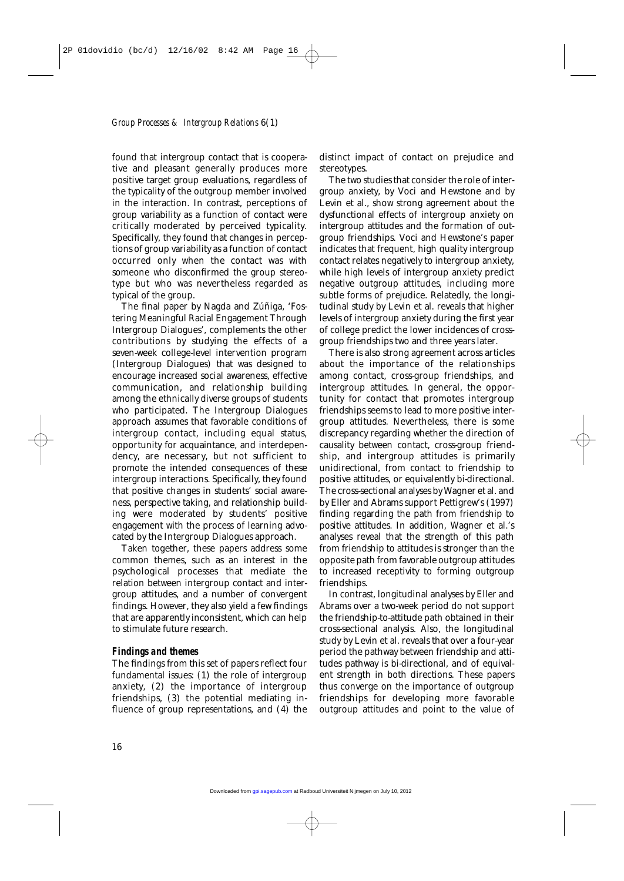found that intergroup contact that is cooperative and pleasant generally produces more positive target group evaluations, regardless of the typicality of the outgroup member involved in the interaction. In contrast, perceptions of group variability as a function of contact were critically moderated by perceived typicality. Specifically, they found that changes in perceptions of group variability as a function of contact occurred only when the contact was with someone who disconfirmed the group stereotype but who was nevertheless regarded as typical of the group.

The final paper by Nagda and Zúñiga, 'Fostering Meaningful Racial Engagement Through Intergroup Dialogues', complements the other contributions by studying the effects of a seven-week college-level intervention program (Intergroup Dialogues) that was designed to encourage increased social awareness, effective communication, and relationship building among the ethnically diverse groups of students who participated. The Intergroup Dialogues approach assumes that favorable conditions of intergroup contact, including equal status, opportunity for acquaintance, and interdependency, are necessary, but not sufficient to promote the intended consequences of these intergroup interactions. Specifically, they found that positive changes in students' social awareness, perspective taking, and relationship building were moderated by students' positive engagement with the process of learning advocated by the Intergroup Dialogues approach.

Taken together, these papers address some common themes, such as an interest in the psychological processes that mediate the relation between intergroup contact and intergroup attitudes, and a number of convergent findings. However, they also yield a few findings that are apparently inconsistent, which can help to stimulate future research.

#### *Findings and themes*

The findings from this set of papers reflect four fundamental issues: (1) the role of intergroup anxiety, (2) the importance of intergroup friendships, (3) the potential mediating influence of group representations, and (4) the

distinct impact of contact on prejudice and stereotypes.

The two studies that consider the role of intergroup anxiety, by Voci and Hewstone and by Levin et al., show strong agreement about the dysfunctional effects of intergroup anxiety on intergroup attitudes and the formation of outgroup friendships. Voci and Hewstone's paper indicates that frequent, high quality intergroup contact relates negatively to intergroup anxiety, while high levels of intergroup anxiety predict negative outgroup attitudes, including more subtle forms of prejudice. Relatedly, the longitudinal study by Levin et al. reveals that higher levels of intergroup anxiety during the first year of college predict the lower incidences of crossgroup friendships two and three years later.

There is also strong agreement across articles about the importance of the relationships among contact, cross-group friendships, and intergroup attitudes. In general, the opportunity for contact that promotes intergroup friendships seems to lead to more positive intergroup attitudes. Nevertheless, there is some discrepancy regarding whether the direction of causality between contact, cross-group friendship, and intergroup attitudes is primarily unidirectional, from contact to friendship to positive attitudes, or equivalently bi-directional. The cross-sectional analyses by Wagner et al. and by Eller and Abrams support Pettigrew's (1997) finding regarding the path from friendship to positive attitudes. In addition, Wagner et al.'s analyses reveal that the strength of this path from friendship to attitudes is stronger than the opposite path from favorable outgroup attitudes to increased receptivity to forming outgroup friendships.

In contrast, longitudinal analyses by Eller and Abrams over a two-week period do not support the friendship-to-attitude path obtained in their cross-sectional analysis. Also, the longitudinal study by Levin et al. reveals that over a four-year period the pathway between friendship and attitudes pathway is bi-directional, and of equivalent strength in both directions. These papers thus converge on the importance of outgroup friendships for developing more favorable outgroup attitudes and point to the value of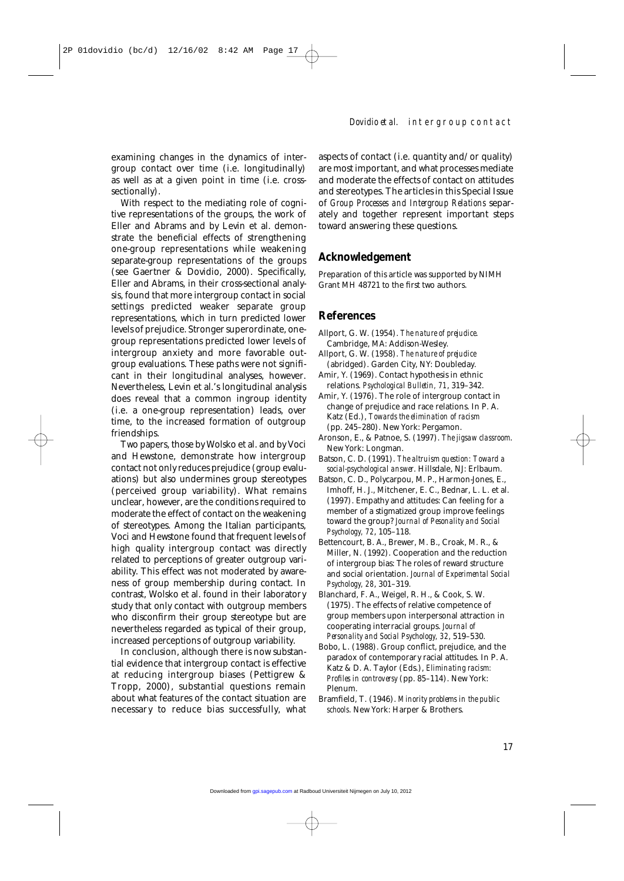examining changes in the dynamics of intergroup contact over time (i.e. longitudinally) as well as at a given point in time (i.e. crosssectionally).

With respect to the mediating role of cognitive representations of the groups, the work of Eller and Abrams and by Levin et al. demonstrate the beneficial effects of strengthening one-group representations while weakening separate-group representations of the groups (see Gaertner & Dovidio, 2000). Specifically, Eller and Abrams, in their cross-sectional analysis, found that more intergroup contact in social settings predicted weaker separate group representations, which in turn predicted lower levels of prejudice. Stronger superordinate, onegroup representations predicted lower levels of intergroup anxiety and more favorable outgroup evaluations. These paths were not significant in their longitudinal analyses, however. Nevertheless, Levin et al.'s longitudinal analysis does reveal that a common ingroup identity (i.e. a one-group representation) leads, over time, to the increased formation of outgroup friendships.

Two papers, those by Wolsko et al. and by Voci and Hewstone, demonstrate how intergroup contact not only reduces prejudice (group evaluations) but also undermines group stereotypes (perceived group variability). What remains unclear, however, are the conditions required to moderate the effect of contact on the weakening of stereotypes. Among the Italian participants, Voci and Hewstone found that frequent levels of high quality intergroup contact was directly related to perceptions of greater outgroup variability. This effect was not moderated by awareness of group membership during contact. In contrast, Wolsko et al. found in their laboratory study that only contact with outgroup members who disconfirm their group stereotype but are nevertheless regarded as typical of their group, increased perceptions of outgroup variability.

In conclusion, although there is now substantial evidence that intergroup contact is effective at reducing intergroup biases (Pettigrew & Tropp, 2000), substantial questions remain about what features of the contact situation are necessary to reduce bias successfully, what aspects of contact (i.e. quantity and/or quality) are most important, and what processes mediate and moderate the effects of contact on attitudes and stereotypes. The articles in this Special Issue of *Group Processes and Intergroup Relations* separately and together represent important steps toward answering these questions.

# **Acknowledgement**

Preparation of this article was supported by NIMH Grant MH 48721 to the first two authors.

# **References**

- Allport, G. W. (1954). *The nature of prejudice*. Cambridge, MA: Addison-Wesley.
- Allport, G. W. (1958). *The nature of prejudice* (abridged). Garden City, NY: Doubleday.
- Amir, Y. (1969). Contact hypothesis in ethnic relations. *Psychological Bulletin, 71*, 319–342.
- Amir, Y. (1976). The role of intergroup contact in change of prejudice and race relations. In P. A. Katz (Ed.), *Towards the elimination of racism* (pp. 245–280). New York: Pergamon.
- Aronson, E., & Patnoe, S. (1997). *The jigsaw classroom*. New York: Longman.
- Batson, C. D. (1991). *The altruism question: Toward a social-psychological answer*. Hillsdale, NJ: Erlbaum.
- Batson, C. D., Polycarpou, M. P., Harmon-Jones, E., Imhoff, H. J., Mitchener, E. C., Bednar, L. L. et al. (1997). Empathy and attitudes: Can feeling for a member of a stigmatized group improve feelings toward the group? *Journal of Pesonality and Social Psychology, 72*, 105–118.
- Bettencourt, B. A., Brewer, M. B., Croak, M. R., & Miller, N. (1992). Cooperation and the reduction of intergroup bias: The roles of reward structure and social orientation. *Journal of Experimental Social Psychology, 28*, 301–319.
- Blanchard, F. A., Weigel, R. H., & Cook, S. W. (1975). The effects of relative competence of group members upon interpersonal attraction in cooperating interracial groups. *Journal of Personality and Social Psychology, 32*, 519–530.
- Bobo, L. (1988). Group conflict, prejudice, and the paradox of contemporary racial attitudes. In P. A. Katz & D. A. Taylor (Eds.), *Eliminating racism: Profiles in controversy* (pp. 85–114). New York: Plenum.
- Bramfield, T. (1946). *Minority problems in the public schools*. New York: Harper & Brothers.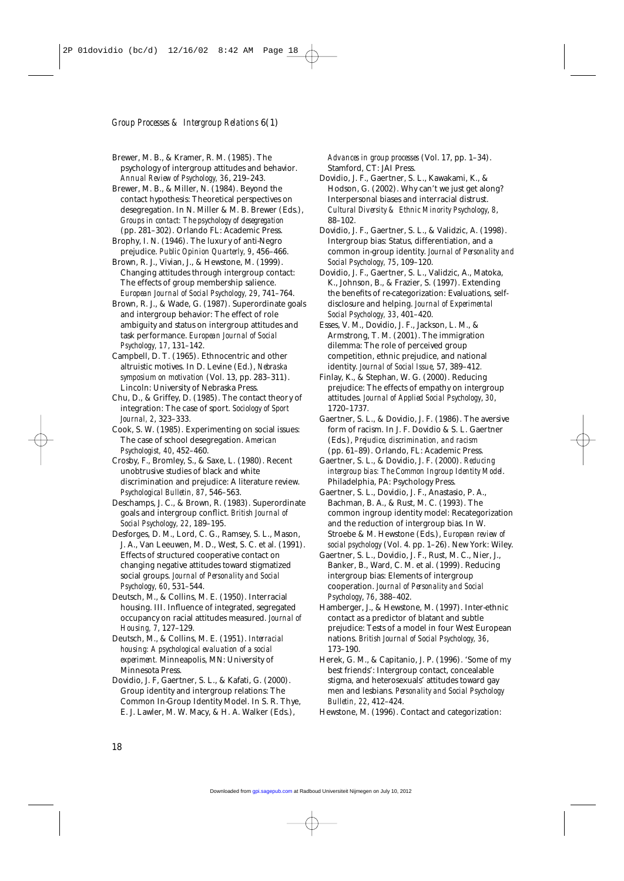Brewer, M. B., & Kramer, R. M. (1985). The psychology of intergroup attitudes and behavior. *Annual Review of Psychology, 36*, 219–243.

Brewer, M. B., & Miller, N. (1984). Beyond the contact hypothesis: Theoretical perspectives on desegregation. In N. Miller & M. B. Brewer (Eds.), *Groups in contact: The psychology of desegregation* (pp. 281–302). Orlando FL: Academic Press.

Brophy, I. N. (1946). The luxury of anti-Negro prejudice. *Public Opinion Quarterly, 9*, 456–466.

Brown, R. J., Vivian, J., & Hewstone, M. (1999). Changing attitudes through intergroup contact: The effects of group membership salience. *European Journal of Social Psychology, 29*, 741–764.

Brown, R. J., & Wade, G. (1987). Superordinate goals and intergroup behavior: The effect of role ambiguity and status on intergroup attitudes and task performance. *European Journal of Social Psychology, 17*, 131–142.

Campbell, D. T. (1965). Ethnocentric and other altruistic motives. In D. Levine (Ed.), *Nebraska symposium on motivation* (Vol. 13, pp. 283–311). Lincoln: University of Nebraska Press.

Chu, D., & Griffey, D. (1985). The contact theory of integration: The case of sport. *Sociology of Sport Journal, 2*, 323–333.

Cook, S. W. (1985). Experimenting on social issues: The case of school desegregation. *American Psychologist, 40*, 452–460.

Crosby, F., Bromley, S., & Saxe, L. (1980). Recent unobtrusive studies of black and white discrimination and prejudice: A literature review. *Psychological Bulletin, 87*, 546–563.

Deschamps, J. C., & Brown, R. (1983). Superordinate goals and intergroup conflict. *British Journal of Social Psychology, 22*, 189–195.

Desforges, D. M., Lord, C. G., Ramsey, S. L., Mason, J. A., Van Leeuwen, M. D., West, S. C. et al. (1991). Effects of structured cooperative contact on changing negative attitudes toward stigmatized social groups. *Journal of Personality and Social Psychology, 60*, 531–544.

Deutsch, M., & Collins, M. E. (1950). Interracial housing. III. Influence of integrated, segregated occupancy on racial attitudes measured. *Journal of Housing, 7*, 127–129.

Deutsch, M., & Collins, M. E. (1951). *Interracial housing: A psychological evaluation of a social experiment.* Minneapolis, MN: University of Minnesota Press.

Dovidio, J. F, Gaertner, S. L., & Kafati, G. (2000). Group identity and intergroup relations: The Common In-Group Identity Model. In S. R. Thye, E. J. Lawler, M. W. Macy, & H. A. Walker (Eds.),

*Advances in group processes* (Vol. 17, pp. 1–34). Stamford, CT: JAI Press.

Dovidio, J. F., Gaertner, S. L., Kawakami, K., & Hodson, G. (2002). Why can't we just get along? Interpersonal biases and interracial distrust. *Cultural Diversity & Ethnic Minority Psychology*, *8*, 88–102.

Dovidio, J. F., Gaertner, S. L., & Validzic, A. (1998). Intergroup bias: Status, differentiation, and a common in-group identity. *Journal of Personality and Social Psychology, 75*, 109–120.

Dovidio, J. F., Gaertner, S. L., Validzic, A., Matoka, K., Johnson, B., & Frazier, S. (1997). Extending the benefits of re-categorization: Evaluations, selfdisclosure and helping. *Journal of Experimental Social Psychology, 33*, 401–420.

Esses, V. M., Dovidio, J. F., Jackson, L. M., & Armstrong, T. M. (2001). The immigration dilemma: The role of perceived group competition, ethnic prejudice, and national identity. *Journal of Social Issue*, 57, 389–412*.*

Finlay, K., & Stephan, W. G. (2000). Reducing prejudice: The effects of empathy on intergroup attitudes. *Journal of Applied Social Psychology*, *30*, 1720–1737.

Gaertner, S. L., & Dovidio, J. F. (1986). The aversive form of racism. In J. F. Dovidio & S. L. Gaertner (Eds.), *Prejudice, discrimination, and racism* (pp. 61–89). Orlando, FL: Academic Press.

Gaertner, S. L., & Dovidio, J. F. (2000). *Reducing intergroup bias: The Common Ingroup Identity Model*. Philadelphia, PA: Psychology Press.

Gaertner, S. L., Dovidio, J. F., Anastasio, P. A., Bachman, B. A., & Rust, M. C. (1993). The common ingroup identity model: Recategorization and the reduction of intergroup bias. In W. Stroebe & M. Hewstone (Eds.), *European review of social psychology* (Vol. 4. pp. 1–26). New York: Wiley.

Gaertner, S. L., Dovidio, J. F., Rust, M. C., Nier, J., Banker, B., Ward, C. M. et al. (1999). Reducing intergroup bias: Elements of intergroup cooperation. *Journal of Personality and Social Psychology*, *76*, 388–402.

Hamberger, J., & Hewstone, M. (1997). Inter-ethnic contact as a predictor of blatant and subtle prejudice: Tests of a model in four West European nations. *British Journal of Social Psychology, 36*, 173–190.

Herek, G. M., & Capitanio, J. P. (1996). 'Some of my best friends': Intergroup contact, concealable stigma, and heterosexuals' attitudes toward gay men and lesbians. *Personality and Social Psychology Bulletin, 22*, 412–424.

Hewstone, M. (1996). Contact and categorization: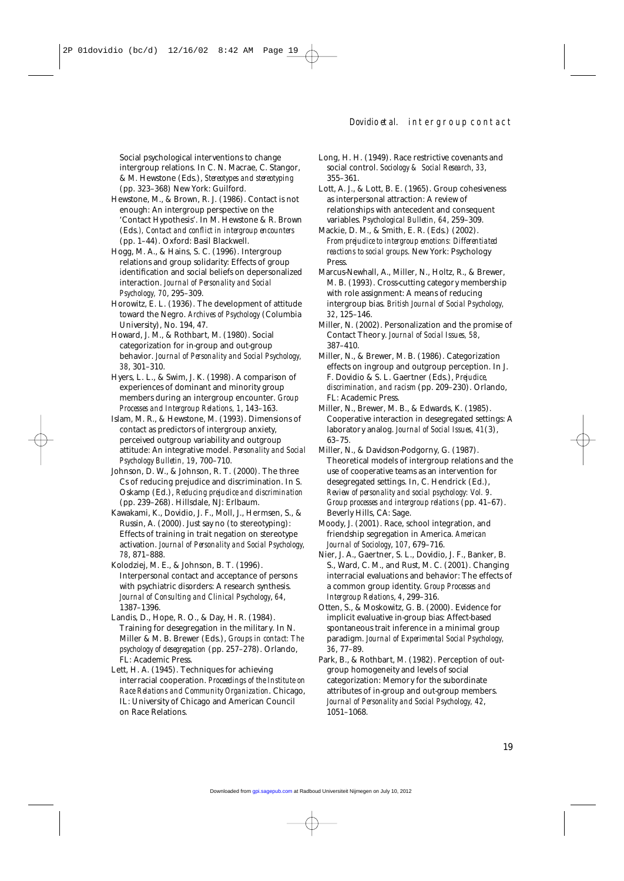Social psychological interventions to change intergroup relations. In C. N. Macrae, C. Stangor, & M. Hewstone (Eds.), *Stereotypes and stereotyping* (pp. 323–368) New York: Guilford.

- Hewstone, M., & Brown, R. J. (1986). Contact is not enough: An intergroup perspective on the 'Contact Hypothesis'. In M. Hewstone & R. Brown (Eds*.), Contact and conflict in intergroup encounters* (pp. 1–44). Oxford: Basil Blackwell.
- Hogg, M. A., & Hains, S. C. (1996). Intergroup relations and group solidarity: Effects of group identification and social beliefs on depersonalized interaction. *Journal of Personality and Social Psychology, 70*, 295–309.
- Horowitz, E. L. (1936). The development of attitude toward the Negro. *Archives of Psychology* (Columbia University), No. 194, 47.
- Howard, J. M., & Rothbart, M. (1980). Social categorization for in-group and out-group behavior. *Journal of Personality and Social Psychology, 38*, 301–310.
- Hyers, L. L., & Swim, J. K. (1998). A comparison of experiences of dominant and minority group members during an intergroup encounter. *Group Processes and Intergroup Relations, 1*, 143–163.
- Islam, M. R., & Hewstone, M. (1993). Dimensions of contact as predictors of intergroup anxiety, perceived outgroup variability and outgroup attitude: An integrative model. *Personality and Social Psychology Bulletin, 19*, 700–710.
- Johnson, D. W., & Johnson, R. T. (2000). The three Cs of reducing prejudice and discrimination. In S. Oskamp (Ed.), *Reducing prejudice and discrimination* (pp. 239–268). Hillsdale, NJ: Erlbaum.
- Kawakami, K., Dovidio, J. F., Moll, J., Hermsen, S., & Russin, A. (2000). Just say no (to stereotyping): Effects of training in trait negation on stereotype activation. *Journal of Personality and Social Psychology, 78*, 871–888.
- Kolodziej, M. E., & Johnson, B. T. (1996). Interpersonal contact and acceptance of persons with psychiatric disorders: A research synthesis. *Journal of Consulting and Clinical Psychology*, *64*, 1387–1396.
- Landis, D., Hope, R. O., & Day, H. R. (1984). Training for desegregation in the military. In N. Miller & M. B. Brewer (Eds.), *Groups in contact: The psychology of desegregation* (pp. 257–278). Orlando, FL: Academic Press.
- Lett, H. A. (1945). Techniques for achieving interracial cooperation. *Proceedings of the Institute on Race Relations and Community Organization*. Chicago, IL: University of Chicago and American Council on Race Relations.
- Long, H. H. (1949). Race restrictive covenants and social control. *Sociology & Social Research*, *33*, 355–361.
- Lott, A. J., & Lott, B. E. (1965). Group cohesiveness as interpersonal attraction: A review of relationships with antecedent and consequent variables. *Psychological Bulletin, 64*, 259–309.
- Mackie, D. M., & Smith, E. R. (Eds.) (2002). *From prejudice to intergroup emotions: Differentiated reactions to social groups*. New York: Psychology Press.
- Marcus-Newhall, A., Miller, N., Holtz, R., & Brewer, M. B. (1993). Cross-cutting category membership with role assignment: A means of reducing intergroup bias. *British Journal of Social Psychology, 32*, 125–146.
- Miller, N. (2002). Personalization and the promise of Contact Theory. *Journal of Social Issues, 58*, 387–410.
- Miller, N., & Brewer, M. B. (1986). Categorization effects on ingroup and outgroup perception. In J. F. Dovidio & S. L. Gaertner (Eds.), *Prejudice, discrimination, and racism* (pp. 209–230). Orlando, FL: Academic Press.
- Miller, N., Brewer, M. B., & Edwards, K. (1985). Cooperative interaction in desegregated settings: A laboratory analog. *Journal of Social Issues, 41*(3), 63–75.
- Miller, N., & Davidson-Podgorny, G. (1987). Theoretical models of intergroup relations and the use of cooperative teams as an intervention for desegregated settings. In, C. Hendrick (Ed.), *Review of personality and social psychology: Vol. 9*. *Group processes and intergroup relations* (pp. 41–67). Beverly Hills, CA: Sage.
- Moody, J. (2001). Race, school integration, and friendship segregation in America. *American Journal of Sociology*, *107*, 679–716.
- Nier, J. A., Gaertner, S. L., Dovidio, J. F., Banker, B. S., Ward, C. M., and Rust, M. C. (2001). Changing interracial evaluations and behavior: The effects of a common group identity. *Group Processes and Intergroup Relations*, *4*, 299–316.
- Otten, S., & Moskowitz, G. B. (2000). Evidence for implicit evaluative in-group bias: Affect-based spontaneous trait inference in a minimal group paradigm. *Journal of Experimental Social Psychology, 36*, 77–89.
- Park, B., & Rothbart, M. (1982). Perception of outgroup homogeneity and levels of social categorization: Memory for the subordinate attributes of in-group and out-group members. *Journal of Personality and Social Psychology, 42*, 1051–1068.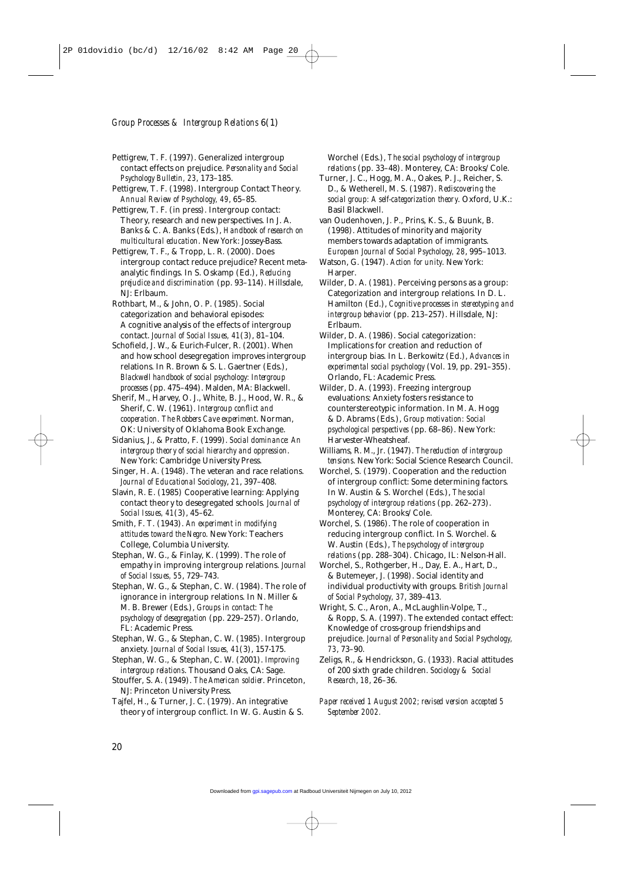Pettigrew, T. F. (1997). Generalized intergroup contact effects on prejudice. *Personality and Social Psychology Bulletin, 23*, 173–185.

Pettigrew, T. F. (1998). Intergroup Contact Theory. *Annual Review of Psychology, 49*, 65–85.

Pettigrew, T. F. (in press). Intergroup contact: Theory, research and new perspectives. In J. A. Banks & C. A. Banks (Eds.), *Handbook of research on multicultural education*. New York: Jossey-Bass.

Pettigrew, T. F., & Tropp, L. R. (2000). Does intergroup contact reduce prejudice? Recent metaanalytic findings. In S. Oskamp (Ed.), *Reducing prejudice and discrimination* (pp. 93–114). Hillsdale, NJ: Erlbaum.

Rothbart, M., & John, O. P. (1985). Social categorization and behavioral episodes: A cognitive analysis of the effects of intergroup contact. *Journal of Social Issues, 41*(3), 81–104.

Schofield, J. W., & Eurich-Fulcer, R. (2001). When and how school desegregation improves intergroup relations. In R. Brown & S. L. Gaertner (Eds.), *Blackwell handbook of social psychology: Intergroup processes* (pp. 475–494). Malden, MA: Blackwell.

Sherif, M., Harvey, O. J., White, B. J., Hood, W. R., & Sherif, C. W. (1961). *Intergroup conflict and cooperation. The Robbers Cave experiment*. Norman, OK: University of Oklahoma Book Exchange.

Sidanius, J., & Pratto, F. (1999). *Social dominance: An intergroup theory of social hierarchy and oppression*. New York: Cambridge University Press.

Singer, H. A. (1948). The veteran and race relations. *Journal of Educational Sociology*, *21*, 397–408.

Slavin, R. E. (1985) Cooperative learning: Applying contact theory to desegregated schools*. Journal of Social Issues, 41*(3), 45–62.

Smith, F. T. (1943). *An experiment in modifying attitudes toward the Negro*. New York: Teachers College, Columbia University.

Stephan, W. G., & Finlay, K. (1999). The role of empathy in improving intergroup relations. *Journal of Social Issues, 55*, 729–743.

Stephan, W. G., & Stephan, C. W. (1984). The role of ignorance in intergroup relations. In N. Miller & M. B. Brewer (Eds.), *Groups in contact: The psychology of desegregation* (pp. 229–257). Orlando, FL: Academic Press.

Stephan, W. G., & Stephan, C. W. (1985). Intergroup anxiety. *Journal of Social Issues, 41*(3), 157-175.

Stephan, W. G., & Stephan, C. W. (2001). *Improving intergroup relations*. Thousand Oaks, CA: Sage.

Stouffer, S. A. (1949). *The American soldier*. Princeton, NJ: Princeton University Press.

Tajfel, H., & Turner, J. C. (1979). An integrative theory of intergroup conflict. In W. G. Austin & S. Worchel (Eds.), *The social psychology of intergroup relations* (pp. 33–48). Monterey, CA: Brooks/Cole.

Turner, J. C., Hogg, M. A., Oakes, P. J., Reicher, S. D., & Wetherell, M. S. (1987). *Rediscovering the social group: A self-categorization theory*. Oxford, U.K.: Basil Blackwell.

van Oudenhoven, J. P., Prins, K. S., & Buunk, B. (1998). Attitudes of minority and majority members towards adaptation of immigrants. *European Journal of Social Psychology, 28*, 995–1013.

Watson, G. (1947). *Action for unity*. New York: Harper.

Wilder, D. A. (1981). Perceiving persons as a group: Categorization and intergroup relations. In D. L. Hamilton (Ed.), *Cognitive processes in stereotyping and intergroup behavior* (pp. 213–257). Hillsdale, NJ: Erlbaum.

Wilder, D. A. (1986). Social categorization: Implications for creation and reduction of intergroup bias. In L. Berkowitz (Ed.), *Advances in experimental social psychology* (Vol. 19, pp. 291–355). Orlando, FL: Academic Press.

Wilder, D. A. (1993). Freezing intergroup evaluations: Anxiety fosters resistance to counterstereotypic information. In M. A. Hogg & D. Abrams (Eds.), *Group motivation: Social psychological perspectives* (pp. 68–86). New York: Harvester-Wheatsheaf.

Williams, R. M., Jr. (1947). *The reduction of intergroup tensions*. New York: Social Science Research Council.

Worchel, S. (1979). Cooperation and the reduction of intergroup conflict: Some determining factors. In W. Austin & S. Worchel (Eds.), *The social psychology of intergroup relations* (pp. 262–273). Monterey, CA: Brooks/Cole.

Worchel, S. (1986). The role of cooperation in reducing intergroup conflict. In S. Worchel. & W. Austin (Eds.), *The psychology of intergroup relations* (pp. 288–304). Chicago, IL: Nelson-Hall.

Worchel, S., Rothgerber, H., Day, E. A., Hart, D., & Butemeyer, J. (1998). Social identity and individual productivity with groups. *British Journal of Social Psychology, 37*, 389–413.

Wright, S. C., Aron, A., McLaughlin-Volpe, T., & Ropp, S. A. (1997). The extended contact effect: Knowledge of cross-group friendships and prejudice. *Journal of Personality and Social Psychology, 73*, 73–90.

Zeligs, R., & Hendrickson, G. (1933). Racial attitudes of 200 sixth grade children. *Sociology & Social Research*, *18*, 26–36.

*Paper received 1 August 2002; revised version accepted 5 September 2002.*